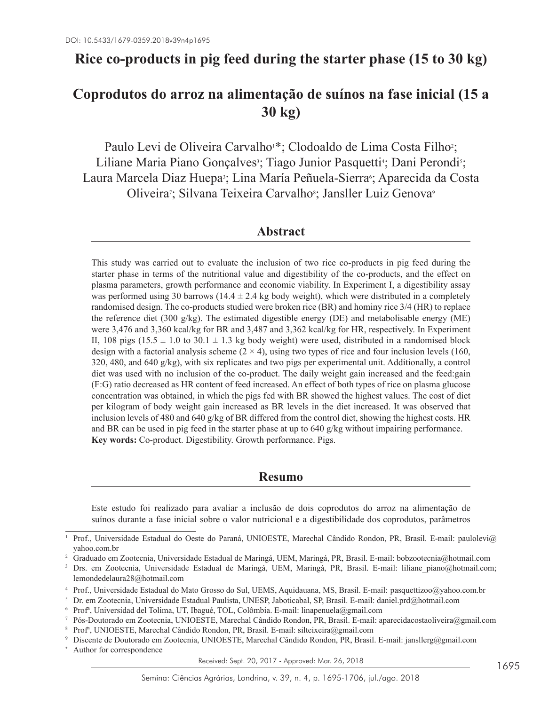# **Rice co-products in pig feed during the starter phase (15 to 30 kg)**

# **Coprodutos do arroz na alimentação de suínos na fase inicial (15 a 30 kg)**

Paulo Levi de Oliveira Carvalho \*; Clodoaldo de Lima Costa Filho?; Liliane Maria Piano Gonçalves<sup>3</sup>; Tiago Junior Pasquetti<sup>4</sup>; Dani Perondi<sup>5</sup>; Laura Marcela Diaz Huepa<sup>3</sup>; Lina María Peñuela-Sierra<sup>6</sup>; Aparecida da Costa Oliveira<sup>7</sup>; Silvana Teixeira Carvalho<sup>8</sup>; Jansller Luiz Genova<sup>9</sup>

## **Abstract**

This study was carried out to evaluate the inclusion of two rice co-products in pig feed during the starter phase in terms of the nutritional value and digestibility of the co-products, and the effect on plasma parameters, growth performance and economic viability. In Experiment I, a digestibility assay was performed using 30 barrows ( $14.4 \pm 2.4$  kg body weight), which were distributed in a completely randomised design. The co-products studied were broken rice (BR) and hominy rice 3/4 (HR) to replace the reference diet (300 g/kg). The estimated digestible energy (DE) and metabolisable energy (ME) were 3,476 and 3,360 kcal/kg for BR and 3,487 and 3,362 kcal/kg for HR, respectively. In Experiment II, 108 pigs (15.5  $\pm$  1.0 to 30.1  $\pm$  1.3 kg body weight) were used, distributed in a randomised block design with a factorial analysis scheme  $(2 \times 4)$ , using two types of rice and four inclusion levels (160, 320, 480, and 640  $g/kg$ ), with six replicates and two pigs per experimental unit. Additionally, a control diet was used with no inclusion of the co-product. The daily weight gain increased and the feed:gain (F:G) ratio decreased as HR content of feed increased. An effect of both types of rice on plasma glucose concentration was obtained, in which the pigs fed with BR showed the highest values. The cost of diet per kilogram of body weight gain increased as BR levels in the diet increased. It was observed that inclusion levels of 480 and 640 g/kg of BR differed from the control diet, showing the highest costs. HR and BR can be used in pig feed in the starter phase at up to 640 g/kg without impairing performance. **Key words:** Co-product. Digestibility. Growth performance. Pigs.

## **Resumo**

Este estudo foi realizado para avaliar a inclusão de dois coprodutos do arroz na alimentação de suínos durante a fase inicial sobre o valor nutricional e a digestibilidade dos coprodutos, parâmetros

Received: Sept. 20, 2017 - Approved: Mar. 26, 2018

Prof., Universidade Estadual do Oeste do Paraná, UNIOESTE, Marechal Cândido Rondon, PR, Brasil. E-mail: paulolevi@ yahoo.com.br

<sup>&</sup>lt;sup>2</sup> Graduado em Zootecnia, Universidade Estadual de Maringá, UEM, Maringá, PR, Brasil. E-mail: bobzootecnia@hotmail.com

<sup>&</sup>lt;sup>3</sup> Drs. em Zootecnia, Universidade Estadual de Maringá, UEM, Maringá, PR, Brasil. E-mail: liliane piano@hotmail.com; lemondedelaura28@hotmail.com

<sup>4</sup> Prof., Universidade Estadual do Mato Grosso do Sul, UEMS, Aquidauana, MS, Brasil. E-mail: pasquettizoo@yahoo.com.br

<sup>5</sup> Dr. em Zootecnia, Universidade Estadual Paulista, UNESP, Jaboticabal, SP, Brasil. E-mail: daniel.prd@hotmail.com

<sup>6</sup> Profª, Universidad del Tolima, UT, Ibagué, TOL, Colômbia. E-mail: linapenuela@gmail.com

<sup>7</sup> Pós-Doutorado em Zootecnia, UNIOESTE, Marechal Cândido Rondon, PR, Brasil. E-mail: aparecidacostaoliveira@gmail.com

<sup>8</sup> Profª, UNIOESTE, Marechal Cândido Rondon, PR, Brasil. E-mail: silteixeira@gmail.com

<sup>9</sup> Discente de Doutorado em Zootecnia, UNIOESTE, Marechal Cândido Rondon, PR, Brasil. E-mail: jansllerg@gmail.com Author for correspondence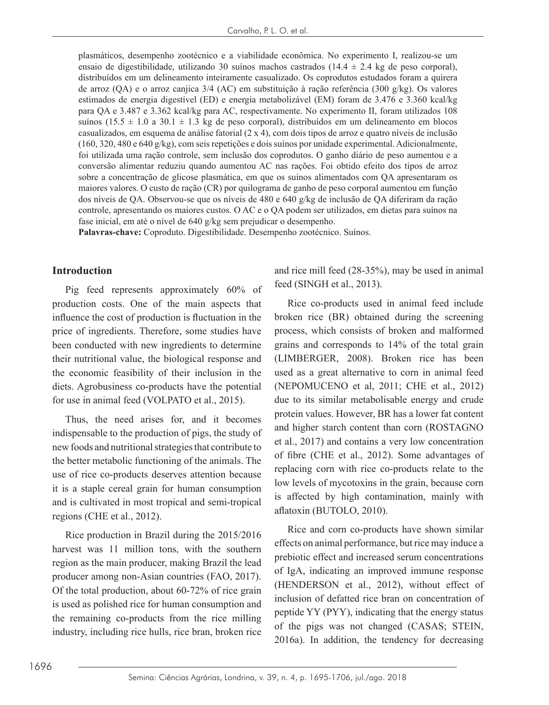plasmáticos, desempenho zootécnico e a viabilidade econômica. No experimento I, realizou-se um ensaio de digestibilidade, utilizando 30 suínos machos castrados (14.4  $\pm$  2.4 kg de peso corporal), distribuídos em um delineamento inteiramente casualizado. Os coprodutos estudados foram a quirera de arroz (QA) e o arroz canjica 3/4 (AC) em substituição à ração referência (300 g/kg). Os valores estimados de energia digestível (ED) e energia metabolizável (EM) foram de 3.476 e 3.360 kcal/kg para QA e 3.487 e 3.362 kcal/kg para AC, respectivamente. No experimento II, foram utilizados 108 suínos (15.5  $\pm$  1.0 a 30.1  $\pm$  1.3 kg de peso corporal), distribuídos em um delineamento em blocos casualizados, em esquema de análise fatorial (2 x 4), com dois tipos de arroz e quatro níveis de inclusão (160, 320, 480 e 640 g/kg), com seis repetições e dois suínos por unidade experimental. Adicionalmente, foi utilizada uma ração controle, sem inclusão dos coprodutos. O ganho diário de peso aumentou e a conversão alimentar reduziu quando aumentou AC nas rações. Foi obtido efeito dos tipos de arroz sobre a concentração de glicose plasmática, em que os suínos alimentados com QA apresentaram os maiores valores. O custo de ração (CR) por quilograma de ganho de peso corporal aumentou em função dos níveis de QA. Observou-se que os níveis de 480 e 640 g/kg de inclusão de QA diferiram da ração controle, apresentando os maiores custos. O AC e o QA podem ser utilizados, em dietas para suínos na fase inicial, em até o nível de 640 g/kg sem prejudicar o desempenho.

**Palavras-chave:** Coproduto. Digestibilidade. Desempenho zootécnico. Suínos.

#### **Introduction**

Pig feed represents approximately 60% of production costs. One of the main aspects that influence the cost of production is fluctuation in the price of ingredients. Therefore, some studies have been conducted with new ingredients to determine their nutritional value, the biological response and the economic feasibility of their inclusion in the diets. Agrobusiness co-products have the potential for use in animal feed (VOLPATO et al., 2015).

Thus, the need arises for, and it becomes indispensable to the production of pigs, the study of new foods and nutritional strategies that contribute to the better metabolic functioning of the animals. The use of rice co-products deserves attention because it is a staple cereal grain for human consumption and is cultivated in most tropical and semi-tropical regions (CHE et al., 2012).

Rice production in Brazil during the 2015/2016 harvest was 11 million tons, with the southern region as the main producer, making Brazil the lead producer among non-Asian countries (FAO, 2017). Of the total production, about 60-72% of rice grain is used as polished rice for human consumption and the remaining co-products from the rice milling industry, including rice hulls, rice bran, broken rice and rice mill feed (28-35%), may be used in animal feed (SINGH et al., 2013).

Rice co-products used in animal feed include broken rice (BR) obtained during the screening process, which consists of broken and malformed grains and corresponds to 14% of the total grain (LIMBERGER, 2008). Broken rice has been used as a great alternative to corn in animal feed (NEPOMUCENO et al, 2011; CHE et al., 2012) due to its similar metabolisable energy and crude protein values. However, BR has a lower fat content and higher starch content than corn (ROSTAGNO et al., 2017) and contains a very low concentration of fibre (CHE et al., 2012). Some advantages of replacing corn with rice co-products relate to the low levels of mycotoxins in the grain, because corn is affected by high contamination, mainly with aflatoxin (BUTOLO, 2010).

Rice and corn co-products have shown similar effects on animal performance, but rice may induce a prebiotic effect and increased serum concentrations of IgA, indicating an improved immune response (HENDERSON et al., 2012), without effect of inclusion of defatted rice bran on concentration of peptide YY (PYY), indicating that the energy status of the pigs was not changed (CASAS; STEIN, 2016a). In addition, the tendency for decreasing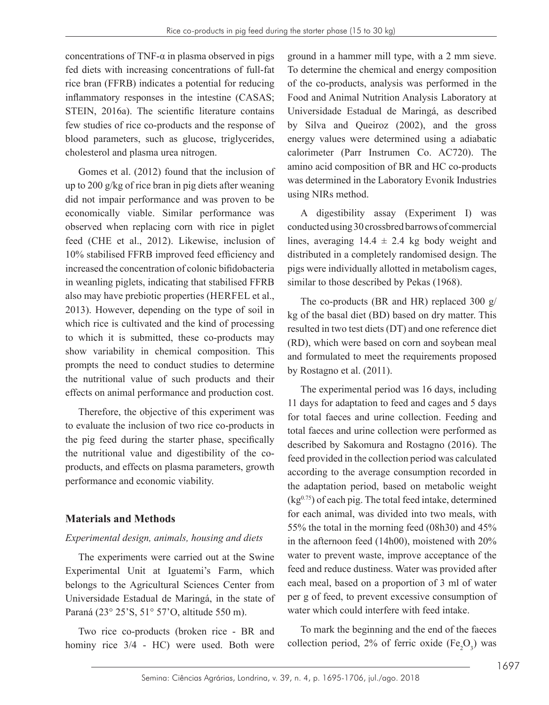concentrations of TNF- $\alpha$  in plasma observed in pigs fed diets with increasing concentrations of full-fat rice bran (FFRB) indicates a potential for reducing inflammatory responses in the intestine (CASAS; STEIN, 2016a). The scientific literature contains few studies of rice co-products and the response of blood parameters, such as glucose, triglycerides, cholesterol and plasma urea nitrogen.

Gomes et al. (2012) found that the inclusion of up to 200 g/kg of rice bran in pig diets after weaning did not impair performance and was proven to be economically viable. Similar performance was observed when replacing corn with rice in piglet feed (CHE et al., 2012). Likewise, inclusion of 10% stabilised FFRB improved feed efficiency and increased the concentration of colonic bifidobacteria in weanling piglets, indicating that stabilised FFRB also may have prebiotic properties (HERFEL et al., 2013). However, depending on the type of soil in which rice is cultivated and the kind of processing to which it is submitted, these co-products may show variability in chemical composition. This prompts the need to conduct studies to determine the nutritional value of such products and their effects on animal performance and production cost.

Therefore, the objective of this experiment was to evaluate the inclusion of two rice co-products in the pig feed during the starter phase, specifically the nutritional value and digestibility of the coproducts, and effects on plasma parameters, growth performance and economic viability.

## **Materials and Methods**

#### *Experimental design, animals, housing and diets*

The experiments were carried out at the Swine Experimental Unit at Iguatemi's Farm, which belongs to the Agricultural Sciences Center from Universidade Estadual de Maringá, in the state of Paraná (23° 25'S, 51° 57'O, altitude 550 m).

Two rice co-products (broken rice - BR and hominy rice 3/4 - HC) were used. Both were ground in a hammer mill type, with a 2 mm sieve. To determine the chemical and energy composition of the co-products, analysis was performed in the Food and Animal Nutrition Analysis Laboratory at Universidade Estadual de Maringá, as described by Silva and Queiroz (2002), and the gross energy values were determined using a adiabatic calorimeter (Parr Instrumen Co. AC720). The amino acid composition of BR and HC co-products was determined in the Laboratory Evonik Industries using NIRs method.

A digestibility assay (Experiment I) was conducted using 30 crossbred barrows of commercial lines, averaging  $14.4 \pm 2.4$  kg body weight and distributed in a completely randomised design. The pigs were individually allotted in metabolism cages, similar to those described by Pekas (1968).

The co-products (BR and HR) replaced 300 g/ kg of the basal diet (BD) based on dry matter. This resulted in two test diets (DT) and one reference diet (RD), which were based on corn and soybean meal and formulated to meet the requirements proposed by Rostagno et al. (2011).

The experimental period was 16 days, including 11 days for adaptation to feed and cages and 5 days for total faeces and urine collection. Feeding and total faeces and urine collection were performed as described by Sakomura and Rostagno (2016). The feed provided in the collection period was calculated according to the average consumption recorded in the adaptation period, based on metabolic weight  $(kg<sup>0.75</sup>)$  of each pig. The total feed intake, determined for each animal, was divided into two meals, with 55% the total in the morning feed (08h30) and 45% in the afternoon feed (14h00), moistened with 20% water to prevent waste, improve acceptance of the feed and reduce dustiness. Water was provided after each meal, based on a proportion of 3 ml of water per g of feed, to prevent excessive consumption of water which could interfere with feed intake.

To mark the beginning and the end of the faeces collection period, 2% of ferric oxide  $(Fe<sub>2</sub>O<sub>3</sub>)$  was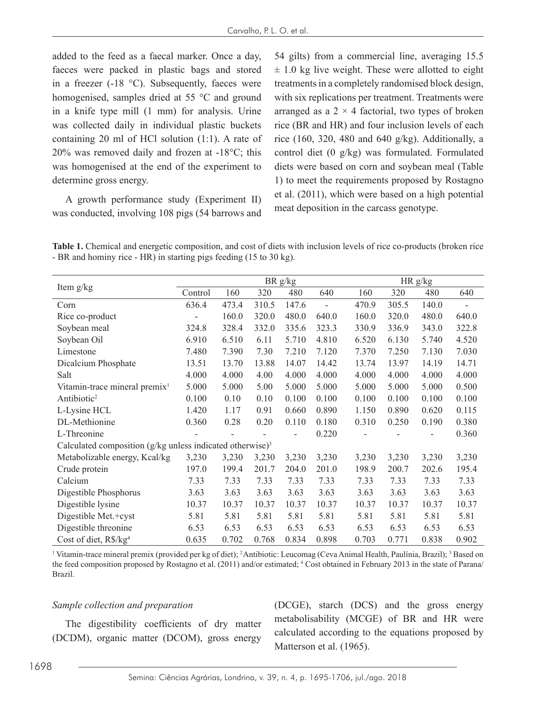added to the feed as a faecal marker. Once a day, faeces were packed in plastic bags and stored in a freezer (-18 °C). Subsequently, faeces were homogenised, samples dried at 55 °C and ground in a knife type mill (1 mm) for analysis. Urine was collected daily in individual plastic buckets containing 20 ml of HCl solution (1:1). A rate of 20% was removed daily and frozen at -18°C; this was homogenised at the end of the experiment to determine gross energy.

A growth performance study (Experiment II) was conducted, involving 108 pigs (54 barrows and

54 gilts) from a commercial line, averaging 15.5  $\pm$  1.0 kg live weight. These were allotted to eight treatments in a completely randomised block design, with six replications per treatment. Treatments were arranged as a  $2 \times 4$  factorial, two types of broken rice (BR and HR) and four inclusion levels of each rice  $(160, 320, 480, and 640, g/kg)$ . Additionally, a control diet (0 g/kg) was formulated. Formulated diets were based on corn and soybean meal (Table 1) to meet the requirements proposed by Rostagno et al. (2011), which were based on a high potential meat deposition in the carcass genotype.

**Table 1.** Chemical and energetic composition, and cost of diets with inclusion levels of rice co-products (broken rice - BR and hominy rice - HR) in starting pigs feeding (15 to 30 kg).

|                                                                       |         |       |       | BR g/kg |                |       |       | HR g/kg |       |
|-----------------------------------------------------------------------|---------|-------|-------|---------|----------------|-------|-------|---------|-------|
| Item g/kg                                                             | Control | 160   | 320   | 480     | 640            | 160   | 320   | 480     | 640   |
| Corn                                                                  | 636.4   | 473.4 | 310.5 | 147.6   | $\overline{a}$ | 470.9 | 305.5 | 140.0   |       |
| Rice co-product                                                       |         | 160.0 | 320.0 | 480.0   | 640.0          | 160.0 | 320.0 | 480.0   | 640.0 |
| Soybean meal                                                          | 324.8   | 328.4 | 332.0 | 335.6   | 323.3          | 330.9 | 336.9 | 343.0   | 322.8 |
| Soybean Oil                                                           | 6.910   | 6.510 | 6.11  | 5.710   | 4.810          | 6.520 | 6.130 | 5.740   | 4.520 |
| Limestone                                                             | 7.480   | 7.390 | 7.30  | 7.210   | 7.120          | 7.370 | 7.250 | 7.130   | 7.030 |
| Dicalcium Phosphate                                                   | 13.51   | 13.70 | 13.88 | 14.07   | 14.42          | 13.74 | 13.97 | 14.19   | 14.71 |
| Salt                                                                  | 4.000   | 4.000 | 4.00  | 4.000   | 4.000          | 4.000 | 4.000 | 4.000   | 4.000 |
| Vitamin-trace mineral premix <sup>1</sup>                             | 5.000   | 5.000 | 5.00  | 5.000   | 5.000          | 5.000 | 5.000 | 5.000   | 0.500 |
| Antibiotic <sup>2</sup>                                               | 0.100   | 0.10  | 0.10  | 0.100   | 0.100          | 0.100 | 0.100 | 0.100   | 0.100 |
| L-Lysine HCL                                                          | 1.420   | 1.17  | 0.91  | 0.660   | 0.890          | 1.150 | 0.890 | 0.620   | 0.115 |
| DL-Methionine                                                         | 0.360   | 0.28  | 0.20  | 0.110   | 0.180          | 0.310 | 0.250 | 0.190   | 0.380 |
| L-Threonine                                                           |         |       |       |         | 0.220          |       |       |         | 0.360 |
| Calculated composition (g/kg unless indicated otherwise) <sup>3</sup> |         |       |       |         |                |       |       |         |       |
| Metabolizable energy, Kcal/kg                                         | 3,230   | 3,230 | 3,230 | 3,230   | 3,230          | 3,230 | 3,230 | 3,230   | 3,230 |
| Crude protein                                                         | 197.0   | 199.4 | 201.7 | 204.0   | 201.0          | 198.9 | 200.7 | 202.6   | 195.4 |
| Calcium                                                               | 7.33    | 7.33  | 7.33  | 7.33    | 7.33           | 7.33  | 7.33  | 7.33    | 7.33  |
| Digestible Phosphorus                                                 | 3.63    | 3.63  | 3.63  | 3.63    | 3.63           | 3.63  | 3.63  | 3.63    | 3.63  |
| Digestible lysine                                                     | 10.37   | 10.37 | 10.37 | 10.37   | 10.37          | 10.37 | 10.37 | 10.37   | 10.37 |
| Digestible Met.+cyst                                                  | 5.81    | 5.81  | 5.81  | 5.81    | 5.81           | 5.81  | 5.81  | 5.81    | 5.81  |
| Digestible threonine                                                  | 6.53    | 6.53  | 6.53  | 6.53    | 6.53           | 6.53  | 6.53  | 6.53    | 6.53  |
| Cost of diet, R\$/kg <sup>4</sup>                                     | 0.635   | 0.702 | 0.768 | 0.834   | 0.898          | 0.703 | 0.771 | 0.838   | 0.902 |

<sup>1</sup> Vitamin-trace mineral premix (provided per kg of diet); <sup>2</sup> Antibiotic: Leucomag (Ceva Animal Health, Paulínia, Brazil); <sup>3</sup> Based on the feed composition proposed by Rostagno et al. (2011) and/or estimated; <sup>4</sup> Cost obtained in February 2013 in the state of Parana/ Brazil.

#### *Sample collection and preparation*

The digestibility coefficients of dry matter (DCDM), organic matter (DCOM), gross energy (DCGE), starch (DCS) and the gross energy metabolisability (MCGE) of BR and HR were calculated according to the equations proposed by Matterson et al. (1965).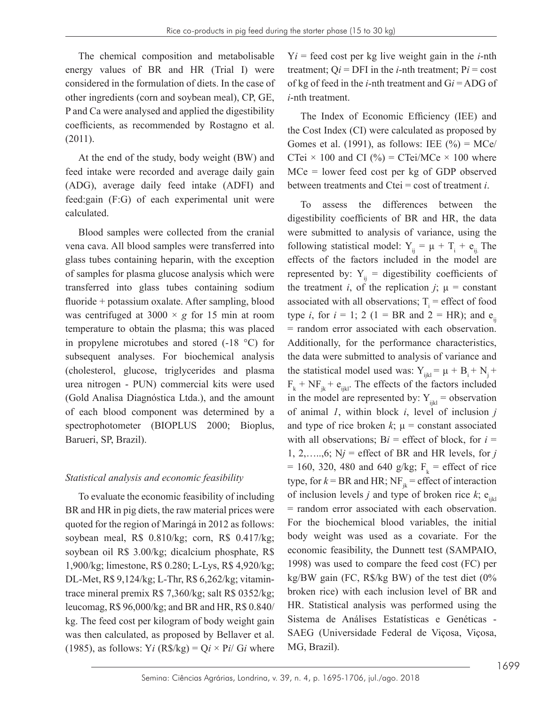The chemical composition and metabolisable energy values of BR and HR (Trial I) were considered in the formulation of diets. In the case of other ingredients (corn and soybean meal), CP, GE, P and Ca were analysed and applied the digestibility coefficients, as recommended by Rostagno et al. (2011).

At the end of the study, body weight (BW) and feed intake were recorded and average daily gain (ADG), average daily feed intake (ADFI) and feed:gain (F:G) of each experimental unit were calculated.

Blood samples were collected from the cranial vena cava. All blood samples were transferred into glass tubes containing heparin, with the exception of samples for plasma glucose analysis which were transferred into glass tubes containing sodium fluoride + potassium oxalate. After sampling, blood was centrifuged at  $3000 \times g$  for 15 min at room temperature to obtain the plasma; this was placed in propylene microtubes and stored (-18 °C) for subsequent analyses. For biochemical analysis (cholesterol, glucose, triglycerides and plasma urea nitrogen - PUN) commercial kits were used (Gold Analisa Diagnóstica Ltda.), and the amount of each blood component was determined by a spectrophotometer (BIOPLUS 2000; Bioplus, Barueri, SP, Brazil).

## *Statistical analysis and economic feasibility*

To evaluate the economic feasibility of including BR and HR in pig diets, the raw material prices were quoted for the region of Maringá in 2012 as follows: soybean meal, R\$ 0.810/kg; corn, R\$ 0.417/kg; soybean oil R\$ 3.00/kg; dicalcium phosphate, R\$ 1,900/kg; limestone, R\$ 0.280; L-Lys, R\$ 4,920/kg; DL-Met, R\$ 9,124/kg; L-Thr, R\$ 6,262/kg; vitamintrace mineral premix R\$ 7,360/kg; salt R\$ 0352/kg; leucomag, R\$ 96,000/kg; and BR and HR, R\$ 0.840/ kg. The feed cost per kilogram of body weight gain was then calculated, as proposed by Bellaver et al. (1985), as follows: Y*i* (R\$/kg) =  $Qi \times Pi/Gi$  where  $Y_i$  = feed cost per kg live weight gain in the *i*-nth treatment;  $Q_i$  = DFI in the *i*-nth treatment;  $Pi$  = cost of kg of feed in the *i*-nth treatment and G*i* = ADG of *i*-nth treatment.

The Index of Economic Efficiency (IEE) and the Cost Index (CI) were calculated as proposed by Gomes et al. (1991), as follows: IEE  $(\% ) = \text{MCe}/$ CTei  $\times$  100 and CI (%) = CTei/MCe  $\times$  100 where MCe = lower feed cost per kg of GDP observed between treatments and Ctei = cost of treatment *i*.

To assess the differences between the digestibility coefficients of BR and HR, the data were submitted to analysis of variance, using the following statistical model:  $Y_{ij} = \mu + T_i + e_{ij}$ . The effects of the factors included in the model are represented by:  $Y_{ii}$  = digestibility coefficients of the treatment *i*, of the replication  $j$ ;  $\mu$  = constant associated with all observations;  $T_i$  = effect of food type *i*, for  $i = 1$ ; 2 (1 = BR and 2 = HR); and  $e_{ii}$ = random error associated with each observation. Additionally, for the performance characteristics, the data were submitted to analysis of variance and the statistical model used was:  $Y_{ijkl} = \mu + B_i + N_i +$  $F_k + NF_{jk} + e_{ijkl}$ . The effects of the factors included in the model are represented by:  $Y_{ikl}$  = observation of animal *1*, within block *i*, level of inclusion *j* and type of rice broken  $k$ ;  $\mu$  = constant associated with all observations;  $Bi =$  effect of block, for  $i =$ 1, 2,...., $6$ ;  $Nj$  = effect of BR and HR levels, for *j*  $= 160, 320, 480$  and 640 g/kg;  $F_k =$  effect of rice type, for  $k = BR$  and HR; NF<sub>ik</sub> = effect of interaction of inclusion levels *j* and type of broken rice  $k$ ;  $e_{ikl}$ = random error associated with each observation. For the biochemical blood variables, the initial body weight was used as a covariate. For the economic feasibility, the Dunnett test (SAMPAIO, 1998) was used to compare the feed cost (FC) per kg/BW gain (FC, R\$/kg BW) of the test diet (0% broken rice) with each inclusion level of BR and HR. Statistical analysis was performed using the Sistema de Análises Estatísticas e Genéticas - SAEG (Universidade Federal de Viçosa, Viçosa, MG, Brazil).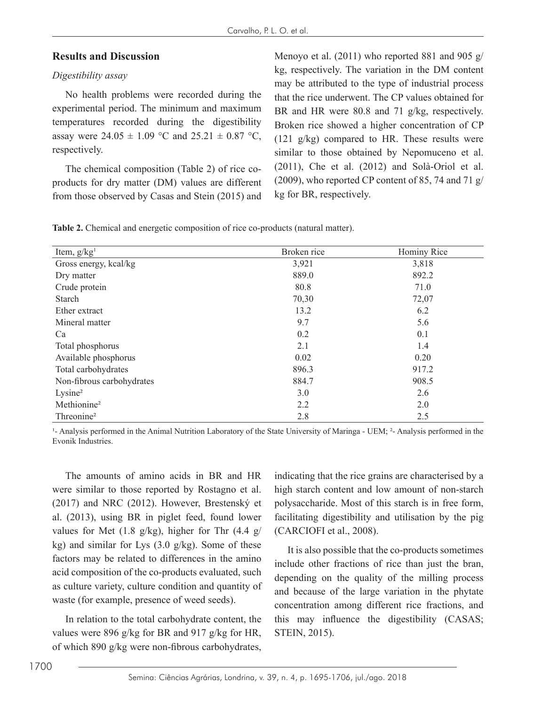## **Results and Discussion**

## *Digestibility assay*

No health problems were recorded during the experimental period. The minimum and maximum temperatures recorded during the digestibility assay were  $24.05 \pm 1.09$  °C and  $25.21 \pm 0.87$  °C, respectively.

The chemical composition (Table 2) of rice coproducts for dry matter (DM) values are different from those observed by Casas and Stein (2015) and

Menoyo et al. (2011) who reported 881 and 905 g/ kg, respectively. The variation in the DM content may be attributed to the type of industrial process that the rice underwent. The CP values obtained for BR and HR were 80.8 and 71 g/kg, respectively. Broken rice showed a higher concentration of CP (121 g/kg) compared to HR. These results were similar to those obtained by Nepomuceno et al. (2011), Che et al. (2012) and Solà-Oriol et al. (2009), who reported CP content of 85, 74 and 71 g/ kg for BR, respectively.

**Table 2.** Chemical and energetic composition of rice co-products (natural matter).

| Item, $g/kg1$             | Broken rice | Hominy Rice |
|---------------------------|-------------|-------------|
| Gross energy, kcal/kg     | 3,921       | 3,818       |
| Dry matter                | 889.0       | 892.2       |
| Crude protein             | 80.8        | 71.0        |
| Starch                    | 70,30       | 72,07       |
| Ether extract             | 13.2        | 6.2         |
| Mineral matter            | 9.7         | 5.6         |
| Ca                        | 0.2         | 0.1         |
| Total phosphorus          | 2.1         | 1.4         |
| Available phosphorus      | 0.02        | 0.20        |
| Total carbohydrates       | 896.3       | 917.2       |
| Non-fibrous carbohydrates | 884.7       | 908.5       |
| Lysine <sup>2</sup>       | 3.0         | 2.6         |
| Methionine <sup>2</sup>   | 2.2         | 2.0         |
| Threonine <sup>2</sup>    | 2.8         | 2.5         |

<sup>1</sup>- Analysis performed in the Animal Nutrition Laboratory of the State University of Maringa - UEM; <sup>2</sup>- Analysis performed in the Evonik Industries.

The amounts of amino acids in BR and HR were similar to those reported by Rostagno et al. (2017) and NRC (2012). However, Brestenský et al. (2013), using BR in piglet feed, found lower values for Met  $(1.8 \text{ g/kg})$ , higher for Thr  $(4.4 \text{ g/kg})$ kg) and similar for Lys (3.0 g/kg). Some of these factors may be related to differences in the amino acid composition of the co-products evaluated, such as culture variety, culture condition and quantity of waste (for example, presence of weed seeds).

In relation to the total carbohydrate content, the values were 896 g/kg for BR and 917 g/kg for HR, of which 890 g/kg were non-fibrous carbohydrates,

indicating that the rice grains are characterised by a high starch content and low amount of non-starch polysaccharide. Most of this starch is in free form, facilitating digestibility and utilisation by the pig (CARCIOFI et al., 2008).

It is also possible that the co-products sometimes include other fractions of rice than just the bran, depending on the quality of the milling process and because of the large variation in the phytate concentration among different rice fractions, and this may influence the digestibility (CASAS; STEIN, 2015).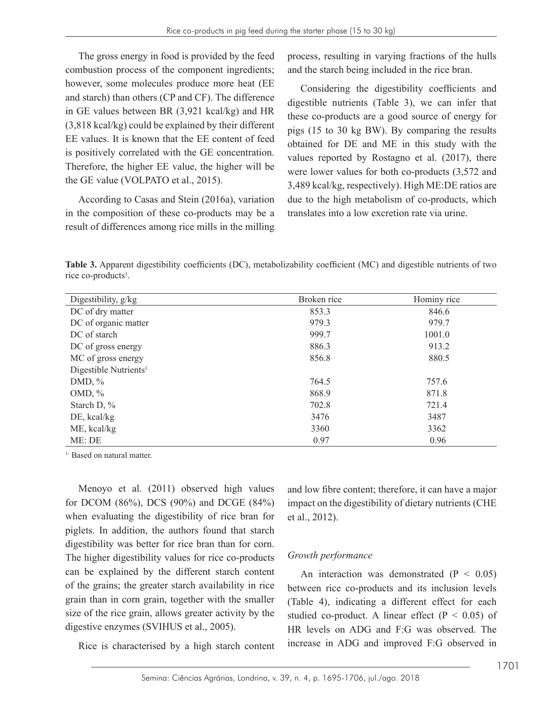The gross energy in food is provided by the feed combustion process of the component ingredients; however, some molecules produce more heat (EE and starch) than others (CP and CF). The difference in GE values between BR (3,921 kcal/kg) and HR (3,818 kcal/kg) could be explained by their different EE values. It is known that the EE content of feed is positively correlated with the GE concentration. Therefore, the higher EE value, the higher will be the GE value (VOLPATO et al., 2015).

According to Casas and Stein (2016a), variation in the composition of these co-products may be a result of differences among rice mills in the milling

process, resulting in varying fractions of the hulls and the starch being included in the rice bran.

Considering the digestibility coefficients and digestible nutrients (Table 3), we can infer that these co-products are a good source of energy for pigs (15 to 30 kg BW). By comparing the results obtained for DE and ME in this study with the values reported by Rostagno et al. (2017), there were lower values for both co-products (3,572 and 3,489 kcal/kg, respectively). High ME:DE ratios are due to the high metabolism of co-products, which translates into a low excretion rate via urine.

**Table 3.** Apparent digestibility coefficients (DC), metabolizability coefficient (MC) and digestible nutrients of two rice co-products<sup>1</sup>.

| Digestibility, g/kg               | Broken rice | Hominy rice |
|-----------------------------------|-------------|-------------|
| DC of dry matter                  | 853.3       | 846.6       |
| DC of organic matter              | 979.3       | 979.7       |
| DC of starch                      | 999.7       | 1001.0      |
| DC of gross energy                | 886.3       | 913.2       |
| MC of gross energy                | 856.8       | 880.5       |
| Digestible Nutrients <sup>1</sup> |             |             |
| DMD, $\%$                         | 764.5       | 757.6       |
| OMD, $%$                          | 868.9       | 871.8       |
| Starch D, $\%$                    | 702.8       | 721.4       |
| $DE$ , kcal/kg                    | 3476        | 3487        |
| ME, kcal/kg                       | 3360        | 3362        |
| ME: DE                            | 0.97        | 0.96        |

<sup>1-</sup> Based on natural matter.

Menoyo et al. (2011) observed high values for DCOM (86%), DCS (90%) and DCGE (84%) when evaluating the digestibility of rice bran for piglets. In addition, the authors found that starch digestibility was better for rice bran than for corn. The higher digestibility values for rice co-products can be explained by the different starch content of the grains; the greater starch availability in rice grain than in corn grain, together with the smaller size of the rice grain, allows greater activity by the digestive enzymes (SVIHUS et al., 2005).

Rice is characterised by a high starch content

and low fibre content; therefore, it can have a major impact on the digestibility of dietary nutrients (CHE et al., 2012).

## *Growth performance*

An interaction was demonstrated  $(P < 0.05)$ between rice co-products and its inclusion levels (Table 4), indicating a different effect for each studied co-product. A linear effect ( $P < 0.05$ ) of HR levels on ADG and F:G was observed. The increase in ADG and improved F:G observed in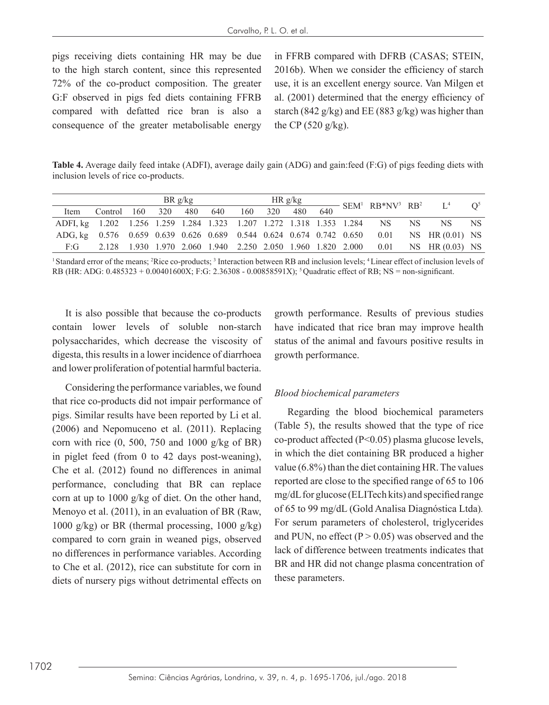pigs receiving diets containing HR may be due to the high starch content, since this represented 72% of the co-product composition. The greater G:F observed in pigs fed diets containing FFRB compared with defatted rice bran is also a consequence of the greater metabolisable energy

in FFRB compared with DFRB (CASAS; STEIN, 2016b). When we consider the efficiency of starch use, it is an excellent energy source. Van Milgen et al. (2001) determined that the energy efficiency of starch (842 g/kg) and EE (883 g/kg) was higher than the CP  $(520 \text{ g/kg})$ .

**Table 4.** Average daily feed intake (ADFI), average daily gain (ADG) and gain:feed (F:G) of pigs feeding diets with inclusion levels of rice co-products.

|                                                                         |                                                             | BRg/kg |     |     |     |     |     | HR g/kg |     | $\frac{1}{640}$ SEM <sup>1</sup> RB*NV <sup>3</sup> RB <sup>2</sup> L <sup>4</sup> |      |                                                                                          | O <sup>5</sup> |
|-------------------------------------------------------------------------|-------------------------------------------------------------|--------|-----|-----|-----|-----|-----|---------|-----|------------------------------------------------------------------------------------|------|------------------------------------------------------------------------------------------|----------------|
| Item                                                                    | Control 160                                                 |        | 320 | 480 | 640 | 160 | 320 | 480     | 640 |                                                                                    |      |                                                                                          |                |
| ADFI, kg 1.202 1.256 1.259 1.284 1.323 1.207 1.272 1.318 1.353 1.284 NS |                                                             |        |     |     |     |     |     |         |     |                                                                                    | NS - | NS —                                                                                     | NS.            |
|                                                                         |                                                             |        |     |     |     |     |     |         |     |                                                                                    |      | ADG, kg 0.576 0.659 0.639 0.626 0.689 0.544 0.624 0.674 0.742 0.650 0.01 NS HR (0.01) NS |                |
| F:G                                                                     | 2.128 1.930 1.970 2.060 1.940 2.250 2.050 1.960 1.820 2.000 |        |     |     |     |     |     |         |     | 0.01                                                                               |      | NS HR $(0.03)$ NS                                                                        |                |

<sup>1</sup>Standard error of the means; <sup>2</sup>Rice co-products; <sup>3</sup> Interaction between RB and inclusion levels; <sup>4</sup> Linear effect of inclusion levels of RB (HR: ADG: 0.485323 + 0.00401600X; F:G: 2.36308 - 0.00858591X); 5 Quadratic effect of RB; NS = non-significant.

It is also possible that because the co-products contain lower levels of soluble non-starch polysaccharides, which decrease the viscosity of digesta, this results in a lower incidence of diarrhoea and lower proliferation of potential harmful bacteria.

Considering the performance variables, we found that rice co-products did not impair performance of pigs. Similar results have been reported by Li et al. (2006) and Nepomuceno et al. (2011). Replacing corn with rice  $(0, 500, 750$  and  $1000$  g/kg of BR) in piglet feed (from 0 to 42 days post-weaning), Che et al. (2012) found no differences in animal performance, concluding that BR can replace corn at up to 1000 g/kg of diet. On the other hand, Menoyo et al. (2011), in an evaluation of BR (Raw, 1000 g/kg) or BR (thermal processing, 1000 g/kg) compared to corn grain in weaned pigs, observed no differences in performance variables. According to Che et al. (2012), rice can substitute for corn in diets of nursery pigs without detrimental effects on

growth performance. Results of previous studies have indicated that rice bran may improve health status of the animal and favours positive results in growth performance.

#### *Blood biochemical parameters*

Regarding the blood biochemical parameters (Table 5), the results showed that the type of rice co-product affected (P<0.05) plasma glucose levels, in which the diet containing BR produced a higher value (6.8%) than the diet containing HR. The values reported are close to the specified range of 65 to 106 mg/dL for glucose (ELITech kits) and specified range of 65 to 99 mg/dL (Gold Analisa Diagnóstica Ltda)*.* For serum parameters of cholesterol, triglycerides and PUN, no effect  $(P > 0.05)$  was observed and the lack of difference between treatments indicates that BR and HR did not change plasma concentration of these parameters.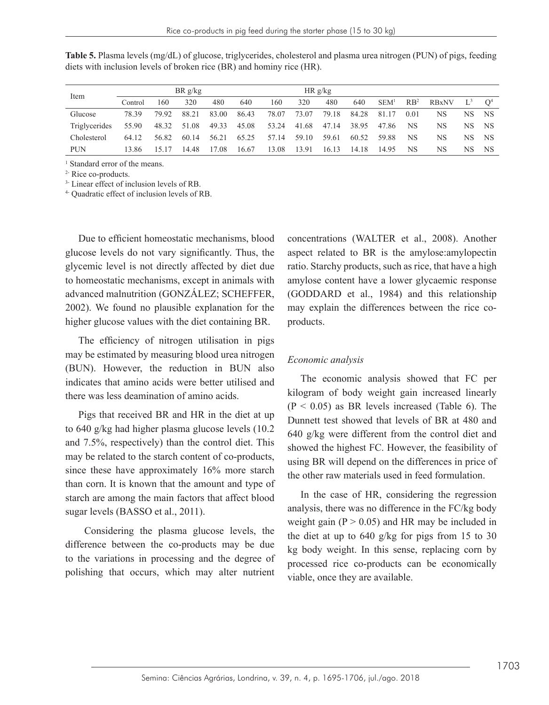| Item                 | BRg/kg  |       |       |       |       | HR g/kg |       |       |       |                  |                 |              |     |     |
|----------------------|---------|-------|-------|-------|-------|---------|-------|-------|-------|------------------|-----------------|--------------|-----|-----|
|                      | Control | -60   | 320   | 480   | 640   | 160     | 320   | 480   | 640   | SEM <sup>1</sup> | RB <sup>2</sup> | <b>RBxNV</b> |     |     |
| Glucose              | 78.39   | 79.92 | 88.21 | 83.00 | 86.43 | 78.07   | 73.07 | 79.18 | 84.28 | 81.17            | 0.01            | NS           | NS. | NS. |
| <b>Triglycerides</b> | 55.90   | 48.32 | 51.08 | 49.33 | 45.08 | 53.24   | 41.68 | 47.14 | 38.95 | 47.86            | NS              | NS           | NS. | NS. |
| Cholesterol          | 64 12   | 56.82 | 60.14 | 56.21 | 65.25 | 57.14   | 59.10 | 59.61 | 60.52 | 59.88            | NS              | NS           | NS. | NS. |
| <b>PUN</b>           | 13.86   | 15 17 | 14.48 | 17.08 | 16.67 | 13.08   | 13.91 | 16.13 | 14.18 | 14.95            | NS              | NS           | NS  | NS  |

**Table 5.** Plasma levels (mg/dL) of glucose, triglycerides, cholesterol and plasma urea nitrogen (PUN) of pigs, feeding diets with inclusion levels of broken rice (BR) and hominy rice (HR).

1 Standard error of the means.

2- Rice co-products.

<sup>3-</sup> Linear effect of inclusion levels of RB.

4- Quadratic effect of inclusion levels of RB.

Due to efficient homeostatic mechanisms, blood glucose levels do not vary significantly. Thus, the glycemic level is not directly affected by diet due to homeostatic mechanisms, except in animals with advanced malnutrition (GONZÁLEZ; SCHEFFER, 2002). We found no plausible explanation for the higher glucose values with the diet containing BR.

The efficiency of nitrogen utilisation in pigs may be estimated by measuring blood urea nitrogen (BUN). However, the reduction in BUN also indicates that amino acids were better utilised and there was less deamination of amino acids.

Pigs that received BR and HR in the diet at up to 640 g/kg had higher plasma glucose levels (10.2 and 7.5%, respectively) than the control diet. This may be related to the starch content of co-products, since these have approximately 16% more starch than corn. It is known that the amount and type of starch are among the main factors that affect blood sugar levels (BASSO et al., 2011).

 Considering the plasma glucose levels, the difference between the co-products may be due to the variations in processing and the degree of polishing that occurs, which may alter nutrient

concentrations (WALTER et al., 2008). Another aspect related to BR is the amylose:amylopectin ratio. Starchy products, such as rice, that have a high amylose content have a lower glycaemic response (GODDARD et al., 1984) and this relationship may explain the differences between the rice coproducts.

## *Economic analysis*

The economic analysis showed that FC per kilogram of body weight gain increased linearly  $(P < 0.05)$  as BR levels increased (Table 6). The Dunnett test showed that levels of BR at 480 and 640 g/kg were different from the control diet and showed the highest FC. However, the feasibility of using BR will depend on the differences in price of the other raw materials used in feed formulation.

In the case of HR, considering the regression analysis, there was no difference in the FC/kg body weight gain  $(P > 0.05)$  and HR may be included in the diet at up to 640 g/kg for pigs from 15 to 30 kg body weight. In this sense, replacing corn by processed rice co-products can be economically viable, once they are available.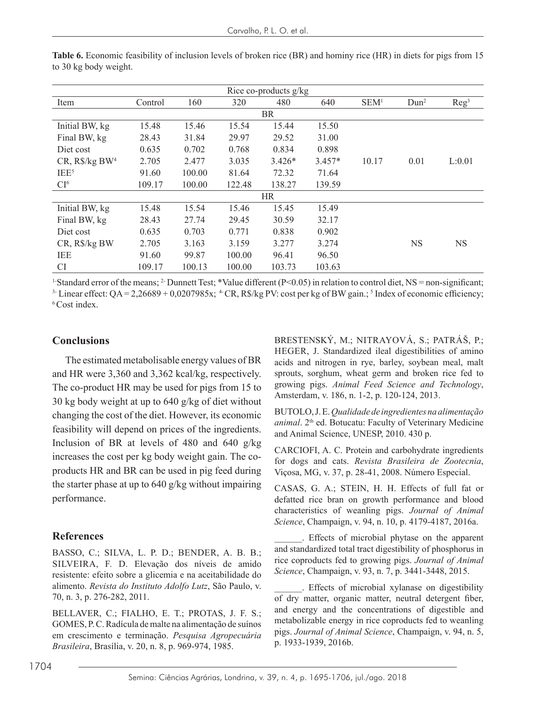| Rice co-products g/kg |         |        |        |           |          |                  |                  |                  |  |  |  |  |
|-----------------------|---------|--------|--------|-----------|----------|------------------|------------------|------------------|--|--|--|--|
| Item                  | Control | 160    | 320    | 480       | 640      | SEM <sup>1</sup> | Dun <sup>2</sup> | Reg <sup>3</sup> |  |  |  |  |
| <b>BR</b>             |         |        |        |           |          |                  |                  |                  |  |  |  |  |
| Initial BW, kg        | 15.48   | 15.46  | 15.54  | 15.44     | 15.50    |                  |                  |                  |  |  |  |  |
| Final BW, kg          | 28.43   | 31.84  | 29.97  | 29.52     | 31.00    |                  |                  |                  |  |  |  |  |
| Diet cost             | 0.635   | 0.702  | 0.768  | 0.834     | 0.898    |                  |                  |                  |  |  |  |  |
| $CR$ , $R\$/kg$ $BW4$ | 2.705   | 2.477  | 3.035  | $3.426*$  | $3.457*$ | 10.17            | 0.01             | L:0.01           |  |  |  |  |
| IEE <sup>5</sup>      | 91.60   | 100.00 | 81.64  | 72.32     | 71.64    |                  |                  |                  |  |  |  |  |
| CI <sup>6</sup>       | 109.17  | 100.00 | 122.48 | 138.27    | 139.59   |                  |                  |                  |  |  |  |  |
|                       |         |        |        | <b>HR</b> |          |                  |                  |                  |  |  |  |  |
| Initial BW, kg        | 15.48   | 15.54  | 15.46  | 15.45     | 15.49    |                  |                  |                  |  |  |  |  |
| Final BW, kg          | 28.43   | 27.74  | 29.45  | 30.59     | 32.17    |                  |                  |                  |  |  |  |  |
| Diet cost             | 0.635   | 0.703  | 0.771  | 0.838     | 0.902    |                  |                  |                  |  |  |  |  |
| CR, R\$/kg BW         | 2.705   | 3.163  | 3.159  | 3.277     | 3.274    |                  | <b>NS</b>        | <b>NS</b>        |  |  |  |  |
| <b>IEE</b>            | 91.60   | 99.87  | 100.00 | 96.41     | 96.50    |                  |                  |                  |  |  |  |  |
| <b>CI</b>             | 109.17  | 100.13 | 100.00 | 103.73    | 103.63   |                  |                  |                  |  |  |  |  |

**Table 6.** Economic feasibility of inclusion levels of broken rice (BR) and hominy rice (HR) in diets for pigs from 15 to 30 kg body weight.

<sup>1-</sup>Standard error of the means; <sup>2-</sup> Dunnett Test; \*Value different (P<0.05) in relation to control diet, NS = non-significant;

<sup>3</sup> Linear effect:  $QA = 2,26689 + 0,0207985x$ ; <sup>4</sup> CR, R\$/kg PV: cost per kg of BW gain.; <sup>5</sup> Index of economic efficiency; 6 Cost index.

#### **Conclusions**

The estimated metabolisable energy values of BR and HR were 3,360 and 3,362 kcal/kg, respectively. The co-product HR may be used for pigs from 15 to 30 kg body weight at up to 640 g/kg of diet without changing the cost of the diet. However, its economic feasibility will depend on prices of the ingredients. Inclusion of BR at levels of 480 and 640 g/kg increases the cost per kg body weight gain. The coproducts HR and BR can be used in pig feed during the starter phase at up to 640 g/kg without impairing performance.

#### **References**

BASSO, C.; SILVA, L. P. D.; BENDER, A. B. B.; SILVEIRA, F. D. Elevação dos níveis de amido resistente: efeito sobre a glicemia e na aceitabilidade do alimento. *Revista do Instituto Adolfo Lutz*, São Paulo, v. 70, n. 3, p. 276-282, 2011.

BELLAVER, C.; FIALHO, E. T.; PROTAS, J. F. S.; GOMES, P. C. Radícula de malte na alimentação de suínos em crescimento e terminação. *Pesquisa Agropecuária Brasileira*, Brasília, v. 20, n. 8, p. 969-974, 1985.

BRESTENSKÝ, M.; NITRAYOVÁ, S.; PATRÁŠ, P.; HEGER, J. Standardized ileal digestibilities of amino acids and nitrogen in rye, barley, soybean meal, malt sprouts, sorghum, wheat germ and broken rice fed to growing pigs. *Animal Feed Science and Technology*, Amsterdam, v. 186, n. 1-2, p. 120-124, 2013.

BUTOLO, J. E. *Qualidade de ingredientes na alimentação animal*. 2<sup>th</sup> ed. Botucatu: Faculty of Veterinary Medicine and Animal Science, UNESP, 2010. 430 p.

CARCIOFI, A. C. Protein and carbohydrate ingredients for dogs and cats. *Revista Brasileira de Zootecnia*, Viçosa, MG, v. 37, p. 28-41, 2008. Número Especial.

CASAS, G. A.; STEIN, H. H. Effects of full fat or defatted rice bran on growth performance and blood characteristics of weanling pigs. *Journal of Animal Science*, Champaign, v. 94, n. 10, p. 4179-4187, 2016a.

\_\_\_\_\_\_. Effects of microbial phytase on the apparent and standardized total tract digestibility of phosphorus in rice coproducts fed to growing pigs. *Journal of Animal Science*, Champaign, v. 93, n. 7, p. 3441-3448, 2015.

\_\_\_\_\_\_. Effects of microbial xylanase on digestibility of dry matter, organic matter, neutral detergent fiber, and energy and the concentrations of digestible and metabolizable energy in rice coproducts fed to weanling pigs. *Journal of Animal Science*, Champaign, v. 94, n. 5, p. 1933-1939, 2016b.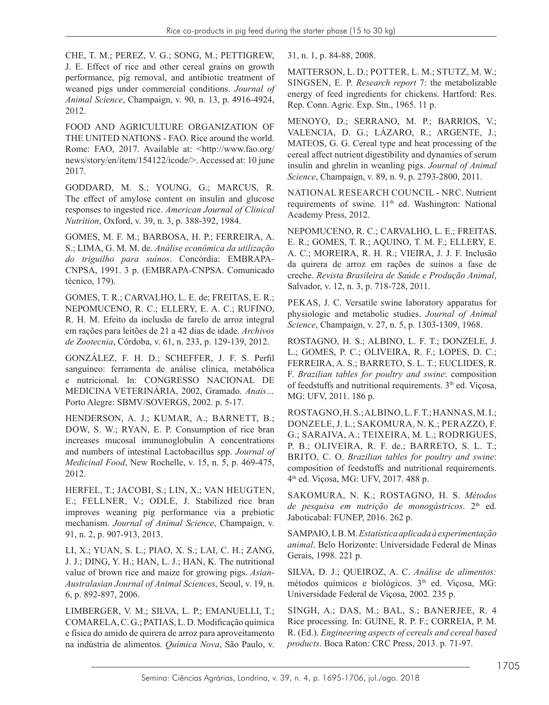CHE, T. M.; PEREZ, V. G.; SONG, M.; PETTIGREW, J. E. Effect of rice and other cereal grains on growth performance, pig removal, and antibiotic treatment of weaned pigs under commercial conditions. *Journal of Animal Science*, Champaign, v. 90, n. 13, p. 4916-4924, 2012.

FOOD AND AGRICULTURE ORGANIZATION OF THE UNITED NATIONS - FAO. Rice around the world. Rome: FAO, 2017. Available at: <http://www.fao.org/ news/story/en/item/154122/icode/>. Accessed at: 10 june 2017.

GODDARD, M. S.; YOUNG, G.; MARCUS, R. The effect of amylose content on insulin and glucose responses to ingested rice. *American Journal of Clinical Nutrition*, Oxford, v. 39, n. 3, p. 388-392, 1984.

GOMES, M. F. M.; BARBOSA, H. P.; FERREIRA, A. S.; LIMA, G. M. M. de. *Análise econômica da utilização do triguilho para suínos*. Concórdia: EMBRAPA-CNPSA, 1991. 3 p. (EMBRAPA-CNPSA. Comunicado técnico, 179).

GOMES, T. R.; CARVALHO, L. E. de; FREITAS, E. R.; NEPOMUCENO, R. C.; ELLERY, E. A. C.; RUFINO, R. H. M. Efeito da inclusão de farelo de arroz integral em rações para leitões de 21 a 42 dias de idade. *Archivos de Zootecnia*, Córdoba, v. 61, n. 233, p. 129-139, 2012.

GONZÁLEZ, F. H. D.; SCHEFFER, J. F. S. Perfil sanguíneo: ferramenta de análise clínica, metabólica e nutricional. In: CONGRESSO NACIONAL DE MEDICINA VETERINÁRIA, 2002, Gramado. *Anais…* Porto Alegre: SBMV/SOVERGS, 2002. p. 5-17.

HENDERSON, A. J.; KUMAR, A.; BARNETT, B.; DOW, S. W.; RYAN, E. P. Consumption of rice bran increases mucosal immunoglobulin A concentrations and numbers of intestinal Lactobacillus spp. *Journal of Medicinal Food*, New Rochelle, v. 15, n. 5, p. 469-475, 2012.

HERFEL, T.; JACOBI, S.; LIN, X.; VAN HEUGTEN, E.; FELLNER, V.; ODLE, J. Stabilized rice bran improves weaning pig performance via a prebiotic mechanism. *Journal of Animal Science*, Champaign, v. 91, n. 2, p. 907-913, 2013.

LI, X.; YUAN, S. L.; PIAO, X. S.; LAI, C. H.; ZANG, J. J.; DING, Y. H.; HAN, L. J.; HAN, K. The nutritional value of brown rice and maize for growing pigs. *Asian-Australasian Journal of Animal Sciences*, Seoul, v. 19, n. 6, p. 892-897, 2006.

LIMBERGER, V. M.; SILVA, L. P.; EMANUELLI, T.; COMARELA, C. G.; PATIAS, L. D. Modificação química e física do amido de quirera de arroz para aproveitamento na indústria de alimentos. *Química Nova*, São Paulo, v. 31, n. 1, p. 84-88, 2008.

MATTERSON, L. D.; POTTER, L. M.; STUTZ, M. W.; SINGSEN, E. P. *Research report* 7: the metabolizable energy of feed ingredients for chickens. Hartford: Res. Rep. Conn. Agric. Exp. Stn., 1965. 11 p.

MENOYO, D.; SERRANO, M. P.; BARRIOS, V.; VALENCIA, D. G.; LÁZARO, R.; ARGENTE, J.; MATEOS, G. G. Cereal type and heat processing of the cereal affect nutrient digestibility and dynamics of serum insulin and ghrelin in weanling pigs. *Journal of Animal Science*, Champaign, v. 89, n. 9, p. 2793-2800, 2011.

NATIONAL RESEARCH COUNCIL - NRC. Nutrient requirements of swine. 11<sup>th</sup> ed. Washington: National Academy Press, 2012.

NEPOMUCENO, R. C.; CARVALHO, L. E.; FREITAS, E. R.; GOMES, T. R.; AQUINO, T. M. F.; ELLERY, E. A. C.; MOREIRA, R. H. R.; VIEIRA, J. J. F. Inclusão da quirera de arroz em rações de suínos a fase de creche. *Revista Brasileira de Saúde e Produção Animal*, Salvador, v. 12, n. 3, p. 718-728, 2011.

PEKAS, J. C. Versatile swine laboratory apparatus for physiologic and metabolic studies. *Journal of Animal Science*, Champaign, v. 27, n. 5, p. 1303-1309, 1968.

ROSTAGNO, H. S.; ALBINO, L. F. T.; DONZELE, J. L.; GOMES, P. C.; OLIVEIRA, R. F.; LOPES, D. C.; FERREIRA, A. S.; BARRETO, S. L. T.; EUCLIDES, R. F. *Brazilian tables for poultry and swine*: composition of feedstuffs and nutritional requirements. 3<sup>th</sup> ed. Viçosa, MG: UFV, 2011. 186 p.

ROSTAGNO, H. S.; ALBINO, L. F. T.; HANNAS, M. I.; DONZELE, J. L.; SAKOMURA, N. K.; PERAZZO, F. G.; SARAIVA, A.; TEIXEIRA, M. L.; RODRIGUES, P. B.; OLIVEIRA, R. F. de.; BARRETO, S. L. T.; BRITO, C. O. *Brazilian tables for poultry and swine*: composition of feedstuffs and nutritional requirements. 4th ed. Viçosa, MG: UFV, 2017. 488 p.

SAKOMURA, N. K.; ROSTAGNO, H. S. *Métodos*  de pesquisa em nutrição de monogástricos. 2<sup>th</sup> ed. Jaboticabal: FUNEP, 2016. 262 p.

SAMPAIO, I. B. M. *Estatística aplicada à experimentação animal*. Belo Horizonte: Universidade Federal de Minas Gerais, 1998. 221 p.

SILVA, D. J.; QUEIROZ, A. C. *Análise de alimentos:*  métodos químicos e biológicos. 3<sup>th</sup> ed. Viçosa, MG: Universidade Federal de Viçosa, 2002. 235 p.

SINGH, A.; DAS, M.; BAL, S.; BANERJEE, R. 4 Rice processing. In: GUINE, R. P. F.; CORREIA, P. M. R. (Ed.). *Engineering aspects of cereals and cereal based products*. Boca Raton: CRC Press, 2013. p. 71-97.